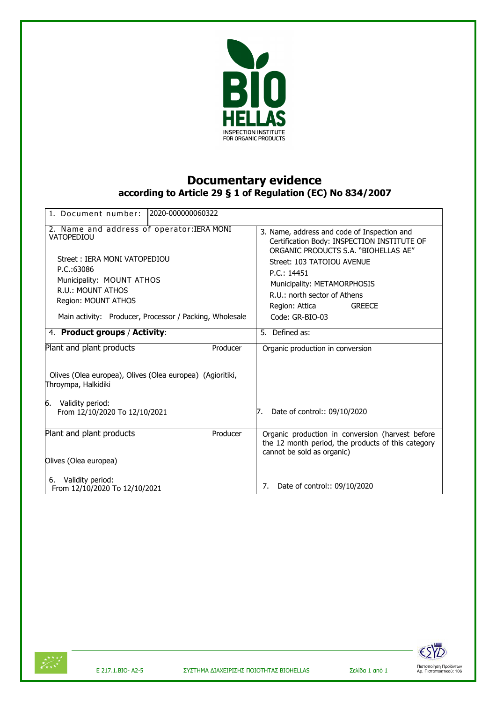

## **Documentary evidence according to Article 29 § 1 of Regulation (EC) No 834/2007**

| 1. Document number:                                                                                                                                                                                                                                                         | 12020-000000060322 |                                                                                                                                                                                                                                                                                                                        |
|-----------------------------------------------------------------------------------------------------------------------------------------------------------------------------------------------------------------------------------------------------------------------------|--------------------|------------------------------------------------------------------------------------------------------------------------------------------------------------------------------------------------------------------------------------------------------------------------------------------------------------------------|
| 2. Name and address of operator: IERA MONI<br>VATOPEDIOU<br>Street: IERA MONI VATOPEDIOU<br>P.C.:63086<br>Municipality: MOUNT ATHOS<br>R.U.: MOUNT ATHOS<br>Region: MOUNT ATHOS<br>Main activity: Producer, Processor / Packing, Wholesale<br>4. Product groups / Activity: |                    | 3. Name, address and code of Inspection and<br>Certification Body: INSPECTION INSTITUTE OF<br>ORGANIC PRODUCTS S.A. "BIOHELLAS AE"<br>Street: 103 TATOIOU AVENUE<br>P.C.: 14451<br>Municipality: METAMORPHOSIS<br>R.U.: north sector of Athens<br>Region: Attica<br><b>GREECE</b><br>Code: GR-BIO-03<br>5. Defined as: |
| Plant and plant products                                                                                                                                                                                                                                                    | Producer           | Organic production in conversion                                                                                                                                                                                                                                                                                       |
| Olives (Olea europea), Olives (Olea europea) (Agioritiki,<br>Throympa, Halkidiki<br>6.<br>Validity period:<br>From 12/10/2020 To 12/10/2021                                                                                                                                 |                    | Date of control:: 09/10/2020<br>7.                                                                                                                                                                                                                                                                                     |
| Plant and plant products                                                                                                                                                                                                                                                    | Producer           | Organic production in conversion (harvest before<br>the 12 month period, the products of this category                                                                                                                                                                                                                 |
| Olives (Olea europea)                                                                                                                                                                                                                                                       |                    | cannot be sold as organic)                                                                                                                                                                                                                                                                                             |
| Validity period:<br>6.<br>From 12/10/2020 To 12/10/2021                                                                                                                                                                                                                     |                    | Date of control:: 09/10/2020<br>7.                                                                                                                                                                                                                                                                                     |